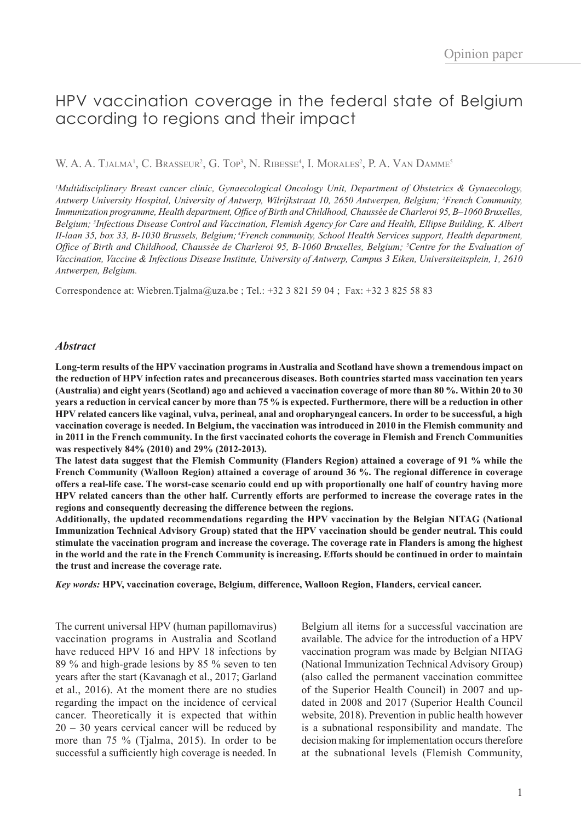## HPV vaccination coverage in the federal state of Belgium according to regions and their impact

W. A. A. Tjalma<sup>1</sup>, C. Brasseur<sup>2</sup>, G. Top<sup>3</sup>, N. Ribesse<sup>4</sup>, I. Morales<sup>2</sup>, P. A. Van Damme<sup>s</sup>

*1 Multidisciplinary Breast cancer clinic, Gynaecological Oncology Unit, Department of Obstetrics & Gynaecology, Antwerp University Hospital, University of Antwerp, Wilrijkstraat 10, 2650 Antwerpen, Belgium; 2 French Community, Immunization programme, Health department, Office of Birth and Childhood, Chaussée de Charleroi 95, B–1060 Bruxelles, Belgium; 3 Infectious Disease Control and Vaccination, Flemish Agency for Care and Health, Ellipse Building, K. Albert II-laan 35, box 33, B-1030 Brussels, Belgium; 4French community, School Health Services support, Health department,*  Office of Birth and Childhood, Chaussée de Charleroi 95, B-1060 Bruxelles, Belgium; <sup>5</sup>Centre for the Evaluation of *Vaccination, Vaccine & Infectious Disease Institute, University of Antwerp, Campus 3 Eiken, Universiteitsplein, 1, 2610 Antwerpen, Belgium.* 

Correspondence at: Wiebren.Tjalma@uza.be ; Tel.: +32 3 821 59 04 ; Fax: +32 3 825 58 83

## *Abstract*

**Long-term results of the HPV vaccination programs in Australia and Scotland have shown a tremendous impact on the reduction of HPV infection rates and precancerous diseases. Both countries started mass vaccination ten years (Australia) and eight years (Scotland) ago and achieved a vaccination coverage of more than 80 %. Within 20 to 30 years a reduction in cervical cancer by more than 75 % is expected. Furthermore, there will be a reduction in other HPV related cancers like vaginal, vulva, perineal, anal and oropharyngeal cancers. In order to be successful, a high vaccination coverage is needed. In Belgium, the vaccination was introduced in 2010 in the Flemish community and in 2011 in the French community. In the first vaccinated cohorts the coverage in Flemish and French Communities was respectively 84% (2010) and 29% (2012-2013).**

**The latest data suggest that the Flemish Community (Flanders Region) attained a coverage of 91 % while the French Community (Walloon Region) attained a coverage of around 36 %. The regional difference in coverage offers a real-life case. The worst-case scenario could end up with proportionally one half of country having more HPV related cancers than the other half. Currently efforts are performed to increase the coverage rates in the regions and consequently decreasing the difference between the regions.** 

**Additionally, the updated recommendations regarding the HPV vaccination by the Belgian NITAG (National Immunization Technical Advisory Group) stated that the HPV vaccination should be gender neutral. This could stimulate the vaccination program and increase the coverage. The coverage rate in Flanders is among the highest in the world and the rate in the French Community is increasing. Efforts should be continued in order to maintain the trust and increase the coverage rate.**

*Key words:* **HPV, vaccination coverage, Belgium, difference, Walloon Region, Flanders, cervical cancer.**

The current universal HPV (human papillomavirus) vaccination programs in Australia and Scotland have reduced HPV 16 and HPV 18 infections by 89 % and high-grade lesions by 85 % seven to ten years after the start (Kavanagh et al., 2017; Garland et al., 2016). At the moment there are no studies regarding the impact on the incidence of cervical cancer. Theoretically it is expected that within 20 – 30 years cervical cancer will be reduced by more than 75 % (Tjalma, 2015). In order to be successful a sufficiently high coverage is needed. In

Belgium all items for a successful vaccination are available. The advice for the introduction of a HPV vaccination program was made by Belgian NITAG (National Immunization Technical Advisory Group) (also called the permanent vaccination committee of the Superior Health Council) in 2007 and updated in 2008 and 2017 (Superior Health Council website, 2018). Prevention in public health however is a subnational responsibility and mandate. The decision making for implementation occurs therefore at the subnational levels (Flemish Community,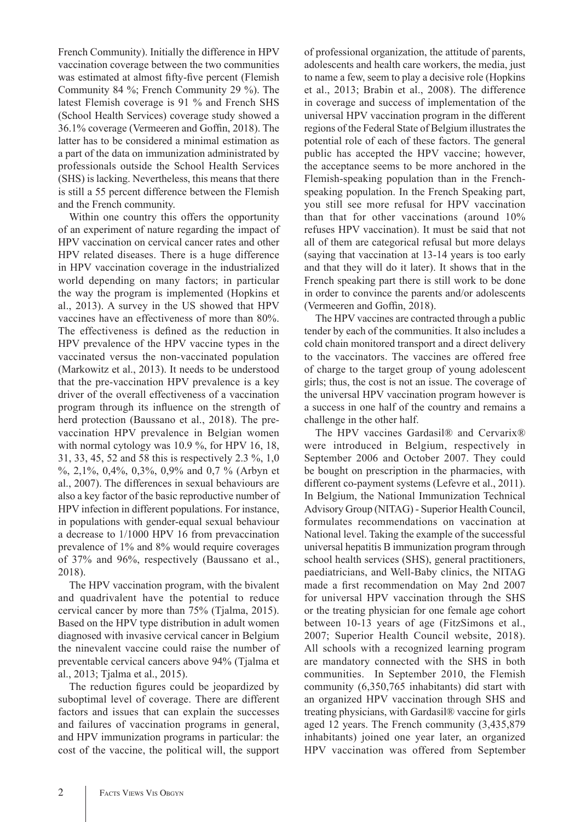French Community). Initially the difference in HPV vaccination coverage between the two communities was estimated at almost fifty-five percent (Flemish Community 84 %; French Community 29 %). The latest Flemish coverage is 91 % and French SHS (School Health Services) coverage study showed a 36.1% coverage (Vermeeren and Goffin, 2018). The latter has to be considered a minimal estimation as a part of the data on immunization administrated by professionals outside the School Health Services (SHS) is lacking. Nevertheless, this means that there is still a 55 percent difference between the Flemish and the French community.

Within one country this offers the opportunity of an experiment of nature regarding the impact of HPV vaccination on cervical cancer rates and other HPV related diseases. There is a huge difference in HPV vaccination coverage in the industrialized world depending on many factors; in particular the way the program is implemented (Hopkins et al., 2013). A survey in the US showed that HPV vaccines have an effectiveness of more than 80%. The effectiveness is defined as the reduction in HPV prevalence of the HPV vaccine types in the vaccinated versus the non-vaccinated population (Markowitz et al., 2013). It needs to be understood that the pre-vaccination HPV prevalence is a key driver of the overall effectiveness of a vaccination program through its influence on the strength of herd protection (Baussano et al., 2018). The prevaccination HPV prevalence in Belgian women with normal cytology was 10.9 %, for HPV 16, 18, 31, 33, 45, 52 and 58 this is respectively 2.3 %, 1,0 %, 2,1%, 0,4%, 0,3%, 0,9% and 0,7 % (Arbyn et al., 2007). The differences in sexual behaviours are also a key factor of the basic reproductive number of HPV infection in different populations. For instance, in populations with gender-equal sexual behaviour a decrease to 1/1000 HPV 16 from prevaccination prevalence of 1% and 8% would require coverages of 37% and 96%, respectively (Baussano et al., 2018).

The HPV vaccination program, with the bivalent and quadrivalent have the potential to reduce cervical cancer by more than 75% (Tjalma, 2015). Based on the HPV type distribution in adult women diagnosed with invasive cervical cancer in Belgium the ninevalent vaccine could raise the number of preventable cervical cancers above 94% (Tjalma et al., 2013; Tjalma et al., 2015).

The reduction figures could be jeopardized by suboptimal level of coverage. There are different factors and issues that can explain the successes and failures of vaccination programs in general, and HPV immunization programs in particular: the cost of the vaccine, the political will, the support of professional organization, the attitude of parents, adolescents and health care workers, the media, just to name a few, seem to play a decisive role (Hopkins et al., 2013; Brabin et al., 2008). The difference in coverage and success of implementation of the universal HPV vaccination program in the different regions of the Federal State of Belgium illustrates the potential role of each of these factors. The general public has accepted the HPV vaccine; however, the acceptance seems to be more anchored in the Flemish-speaking population than in the Frenchspeaking population. In the French Speaking part, you still see more refusal for HPV vaccination than that for other vaccinations (around 10% refuses HPV vaccination). It must be said that not all of them are categorical refusal but more delays (saying that vaccination at 13-14 years is too early and that they will do it later). It shows that in the French speaking part there is still work to be done in order to convince the parents and/or adolescents (Vermeeren and Goffin, 2018).

The HPV vaccines are contracted through a public tender by each of the communities. It also includes a cold chain monitored transport and a direct delivery to the vaccinators. The vaccines are offered free of charge to the target group of young adolescent girls; thus, the cost is not an issue. The coverage of the universal HPV vaccination program however is a success in one half of the country and remains a challenge in the other half.

The HPV vaccines Gardasil® and Cervarix® were introduced in Belgium, respectively in September 2006 and October 2007. They could be bought on prescription in the pharmacies, with different co-payment systems (Lefevre et al., 2011). In Belgium, the National Immunization Technical Advisory Group (NITAG) - Superior Health Council, formulates recommendations on vaccination at National level. Taking the example of the successful universal hepatitis B immunization program through school health services (SHS), general practitioners, paediatricians, and Well-Baby clinics, the NITAG made a first recommendation on May 2nd 2007 for universal HPV vaccination through the SHS or the treating physician for one female age cohort between 10-13 years of age (FitzSimons et al., 2007; Superior Health Council website, 2018). All schools with a recognized learning program are mandatory connected with the SHS in both communities. In September 2010, the Flemish community (6,350,765 inhabitants) did start with an organized HPV vaccination through SHS and treating physicians, with Gardasil® vaccine for girls aged 12 years. The French community (3,435,879 inhabitants) joined one year later, an organized HPV vaccination was offered from September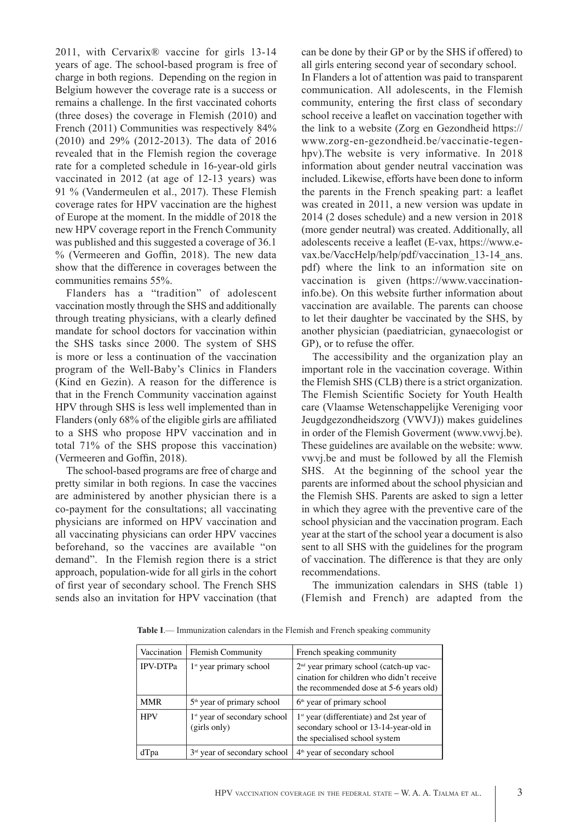2011, with Cervarix® vaccine for girls 13-14 years of age. The school-based program is free of charge in both regions. Depending on the region in Belgium however the coverage rate is a success or remains a challenge. In the first vaccinated cohorts (three doses) the coverage in Flemish (2010) and French (2011) Communities was respectively 84% (2010) and 29% (2012-2013). The data of 2016 revealed that in the Flemish region the coverage rate for a completed schedule in 16-year-old girls vaccinated in 2012 (at age of 12-13 years) was 91 % (Vandermeulen et al., 2017). These Flemish coverage rates for HPV vaccination are the highest of Europe at the moment. In the middle of 2018 the new HPV coverage report in the French Community was published and this suggested a coverage of 36.1 % (Vermeeren and Goffin, 2018). The new data show that the difference in coverages between the communities remains 55%.

Flanders has a "tradition" of adolescent vaccination mostly through the SHS and additionally through treating physicians, with a clearly defined mandate for school doctors for vaccination within the SHS tasks since 2000. The system of SHS is more or less a continuation of the vaccination program of the Well-Baby's Clinics in Flanders (Kind en Gezin). A reason for the difference is that in the French Community vaccination against HPV through SHS is less well implemented than in Flanders (only 68% of the eligible girls are affiliated to a SHS who propose HPV vaccination and in total 71% of the SHS propose this vaccination) (Vermeeren and Goffin, 2018).

The school-based programs are free of charge and pretty similar in both regions. In case the vaccines are administered by another physician there is a co-payment for the consultations; all vaccinating physicians are informed on HPV vaccination and all vaccinating physicians can order HPV vaccines beforehand, so the vaccines are available "on demand". In the Flemish region there is a strict approach, population-wide for all girls in the cohort of first year of secondary school. The French SHS sends also an invitation for HPV vaccination (that can be done by their GP or by the SHS if offered) to all girls entering second year of secondary school. In Flanders a lot of attention was paid to transparent communication. All adolescents, in the Flemish community, entering the first class of secondary school receive a leaflet on vaccination together with the link to a website (Zorg en Gezondheid https:// www.zorg-en-gezondheid.be/vaccinatie-tegenhpv).The website is very informative. In 2018 information about gender neutral vaccination was included. Likewise, efforts have been done to inform the parents in the French speaking part: a leaflet was created in 2011, a new version was update in 2014 (2 doses schedule) and a new version in 2018 (more gender neutral) was created. Additionally, all adolescents receive a leaflet (E-vax, https://www.evax.be/VaccHelp/help/pdf/vaccination\_13-14\_ans. pdf) where the link to an information site on vaccination is given (https://www.vaccinationinfo.be). On this website further information about vaccination are available. The parents can choose to let their daughter be vaccinated by the SHS, by another physician (paediatrician, gynaecologist or GP), or to refuse the offer.

The accessibility and the organization play an important role in the vaccination coverage. Within the Flemish SHS (CLB) there is a strict organization. The Flemish Scientific Society for Youth Health care (Vlaamse Wetenschappelijke Vereniging voor Jeugdgezondheidszorg (VWVJ)) makes guidelines in order of the Flemish Goverment (www.vwvj.be). These guidelines are available on the website: www. vwvj.be and must be followed by all the Flemish SHS. At the beginning of the school year the parents are informed about the school physician and the Flemish SHS. Parents are asked to sign a letter in which they agree with the preventive care of the school physician and the vaccination program. Each year at the start of the school year a document is also sent to all SHS with the guidelines for the program of vaccination. The difference is that they are only recommendations.

The immunization calendars in SHS (table 1) (Flemish and French) are adapted from the

| IPV-DTPa | $1st$ year primary school                      | 2 <sup>nd</sup> year primary school (catch-up vac-<br>cination for children who didn't receive<br>the recommended dose at 5-6 years old) |
|----------|------------------------------------------------|------------------------------------------------------------------------------------------------------------------------------------------|
| MMR      | 5 <sup>th</sup> year of primary school         | $6th$ year of primary school                                                                                                             |
| HPV      | $1st$ year of secondary school<br>(girls only) | $1st$ year (differentiate) and 2st year of<br>secondary school or 13-14-year-old in<br>the specialised school system                     |
| dTpa     | $3rd$ year of secondary school                 | 4 <sup>th</sup> year of secondary school                                                                                                 |
|          |                                                |                                                                                                                                          |

**Table I**.— Immunization calendars in the Flemish and French speaking community

Vaccination | Flemish Community | French speaking community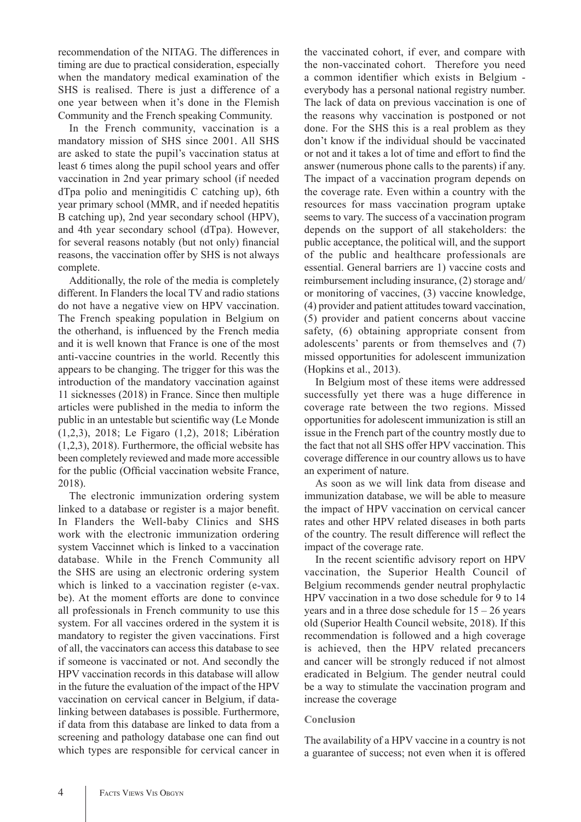recommendation of the NITAG. The differences in timing are due to practical consideration, especially when the mandatory medical examination of the SHS is realised. There is just a difference of a one year between when it's done in the Flemish Community and the French speaking Community.

In the French community, vaccination is a mandatory mission of SHS since 2001. All SHS are asked to state the pupil's vaccination status at least 6 times along the pupil school years and offer vaccination in 2nd year primary school (if needed dTpa polio and meningitidis C catching up), 6th year primary school (MMR, and if needed hepatitis B catching up), 2nd year secondary school (HPV), and 4th year secondary school (dTpa). However, for several reasons notably (but not only) financial reasons, the vaccination offer by SHS is not always complete.

Additionally, the role of the media is completely different. In Flanders the local TV and radio stations do not have a negative view on HPV vaccination. The French speaking population in Belgium on the otherhand, is influenced by the French media and it is well known that France is one of the most anti-vaccine countries in the world. Recently this appears to be changing. The trigger for this was the introduction of the mandatory vaccination against 11 sicknesses (2018) in France. Since then multiple articles were published in the media to inform the public in an untestable but scientific way (Le Monde (1,2,3), 2018; Le Figaro (1,2), 2018; Libération (1,2,3), 2018). Furthermore, the official website has been completely reviewed and made more accessible for the public (Official vaccination website France, 2018).

The electronic immunization ordering system linked to a database or register is a major benefit. In Flanders the Well-baby Clinics and SHS work with the electronic immunization ordering system Vaccinnet which is linked to a vaccination database. While in the French Community all the SHS are using an electronic ordering system which is linked to a vaccination register (e-vax. be). At the moment efforts are done to convince all professionals in French community to use this system. For all vaccines ordered in the system it is mandatory to register the given vaccinations. First of all, the vaccinators can access this database to see if someone is vaccinated or not. And secondly the HPV vaccination records in this database will allow in the future the evaluation of the impact of the HPV vaccination on cervical cancer in Belgium, if datalinking between databases is possible. Furthermore, if data from this database are linked to data from a screening and pathology database one can find out which types are responsible for cervical cancer in the vaccinated cohort, if ever, and compare with the non-vaccinated cohort. Therefore you need a common identifier which exists in Belgium everybody has a personal national registry number. The lack of data on previous vaccination is one of the reasons why vaccination is postponed or not done. For the SHS this is a real problem as they don't know if the individual should be vaccinated or not and it takes a lot of time and effort to find the answer (numerous phone calls to the parents) if any. The impact of a vaccination program depends on the coverage rate. Even within a country with the resources for mass vaccination program uptake seems to vary. The success of a vaccination program depends on the support of all stakeholders: the public acceptance, the political will, and the support of the public and healthcare professionals are essential. General barriers are 1) vaccine costs and reimbursement including insurance, (2) storage and/ or monitoring of vaccines, (3) vaccine knowledge, (4) provider and patient attitudes toward vaccination, (5) provider and patient concerns about vaccine safety, (6) obtaining appropriate consent from adolescents' parents or from themselves and (7) missed opportunities for adolescent immunization (Hopkins et al., 2013).

In Belgium most of these items were addressed successfully yet there was a huge difference in coverage rate between the two regions. Missed opportunities for adolescent immunization is still an issue in the French part of the country mostly due to the fact that not all SHS offer HPV vaccination. This coverage difference in our country allows us to have an experiment of nature.

As soon as we will link data from disease and immunization database, we will be able to measure the impact of HPV vaccination on cervical cancer rates and other HPV related diseases in both parts of the country. The result difference will reflect the impact of the coverage rate.

In the recent scientific advisory report on HPV vaccination, the Superior Health Council of Belgium recommends gender neutral prophylactic HPV vaccination in a two dose schedule for 9 to 14 years and in a three dose schedule for  $15 - 26$  years old (Superior Health Council website, 2018). If this recommendation is followed and a high coverage is achieved, then the HPV related precancers and cancer will be strongly reduced if not almost eradicated in Belgium. The gender neutral could be a way to stimulate the vaccination program and increase the coverage

## **Conclusion**

The availability of a HPV vaccine in a country is not a guarantee of success; not even when it is offered